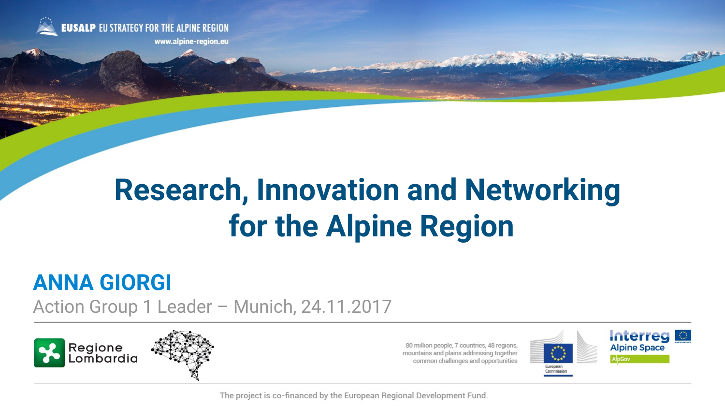

# **Research, Innovation and Networking for the Alpine Region**

# **ANNA GIORGI**

Action Group 1 Leader – Munich, 24.11.2017





80 million people, 7 countries, 48 regions, mountains and plains addressing together common challenges and opportunities





The project is co-financed by the European Regional Development Fund.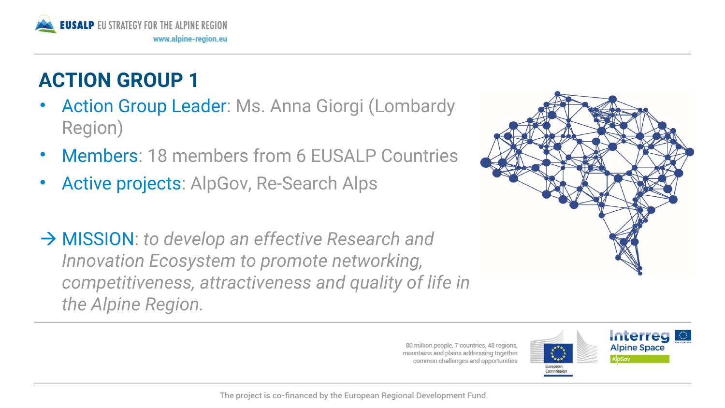

# **ACTION GROUP 1**

- Action Group Leader: Ms. Anna Giorgi (Lombardy Region)
- Members: 18 members from 6 EUSALP Countries
- Active projects: AlpGov, Re-Search Alps
- → **MISSION**: *to develop an effective Research and Innovation Ecosystem to promote networking, competitiveness, attractiveness and quality of life in the Alpine Region.*





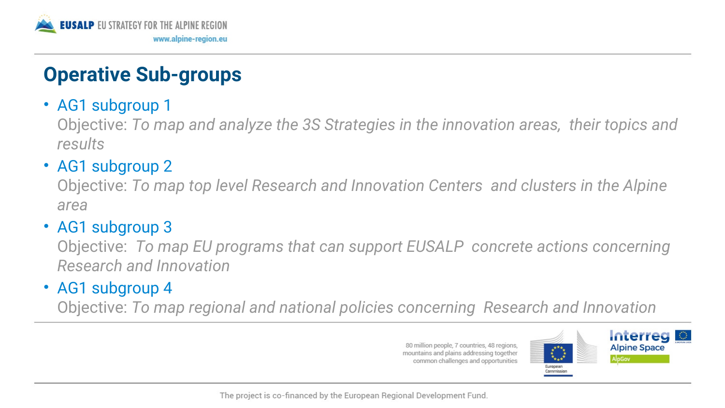

## **Operative Sub-groups**

### • AG1 subgroup 1

Objective: *To map and analyze the 3S Strategies in the innovation areas, their topics and results* 

## • AG1 subgroup 2

Objective: *To map top level Research and Innovation Centers and clusters in the Alpine area* 

## • AG1 subgroup 3

Objective: *To map EU programs that can support EUSALP concrete actions concerning Research and Innovation* 

## • AG1 subgroup 4

Objective: *To map regional and national policies concerning Research and Innovation*

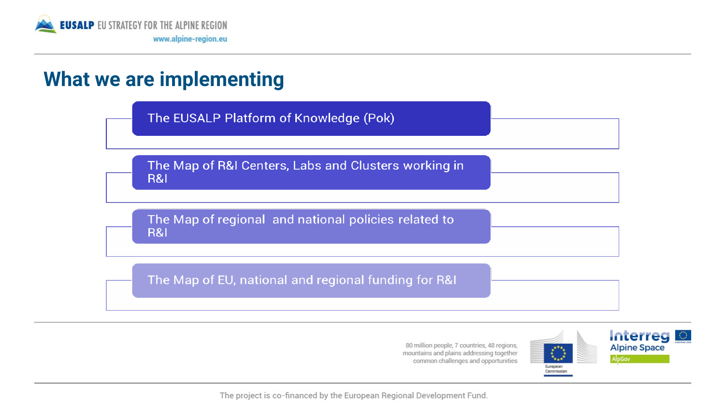

## **What we are implementing**

The EUSALP Platform of Knowledge (Pok)

The Map of R&I Centers, Labs and Clusters working in **R&I** 

The Map of regional and national policies related to **R&I** 

The Map of EU, national and regional funding for R&I



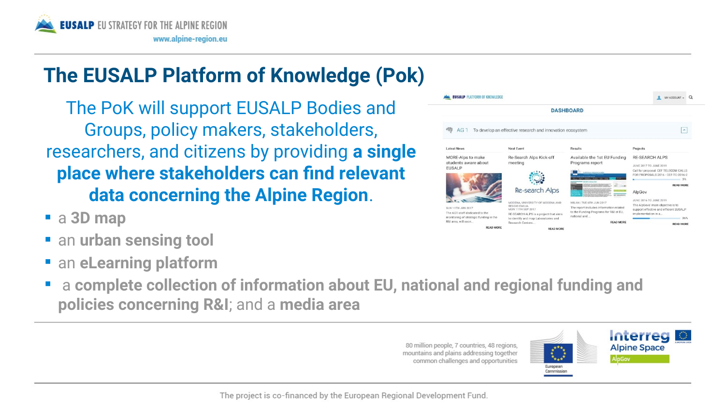

# **The EUSALP Platform of Knowledge (Pok)**

The PoK will support EUSALP Bodies and Groups, policy makers, stakeholders, researchers, and citizens by providing **a single place where stakeholders can fnd relevant data concerning the Alpine Region**.

- a **3D map**
- **F** an **urban sensing tool**
- an **eLearning platform**
- a **complete collection of information about EU, national and regional funding and policies concerning R&I**; and a **media area**



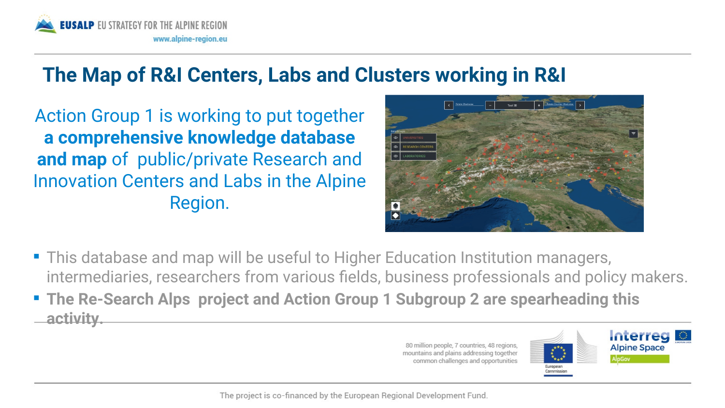

## **The Map of R&I Centers, Labs and Clusters working in R&I**

Action Group 1 is working to put together **a comprehensive knowledge database and map** of public/private Research and Innovation Centers and Labs in the Alpine Region.



- This database and map will be useful to Higher Education Institution managers, intermediaries, researchers from various felds, business professionals and policy makers.
- **The Re-Search Alps project and Action Group 1 Subgroup 2 are spearheading this activity.**

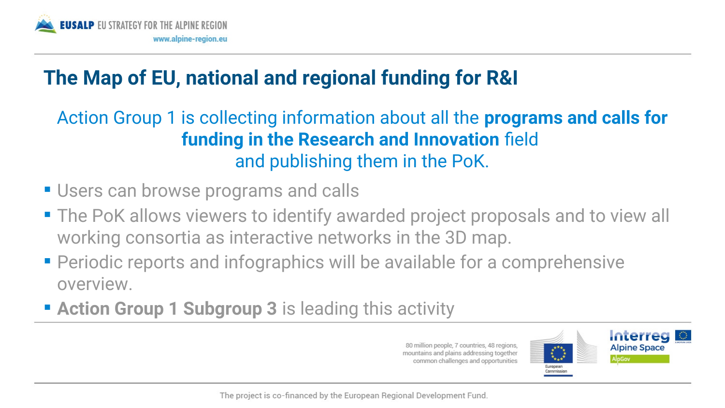

# **The Map of EU, national and regional funding for R&I**

## Action Group 1 is collecting information about all the **programs and calls for funding in the Research and Innovation** feld and publishing them in the PoK.

- **Users can browse programs and calls**
- The PoK allows viewers to identify awarded project proposals and to view all working consortia as interactive networks in the 3D map.
- Periodic reports and infographics will be available for a comprehensive overview.
- **Example 2 Action Group 1 Subgroup 3** is leading this activity

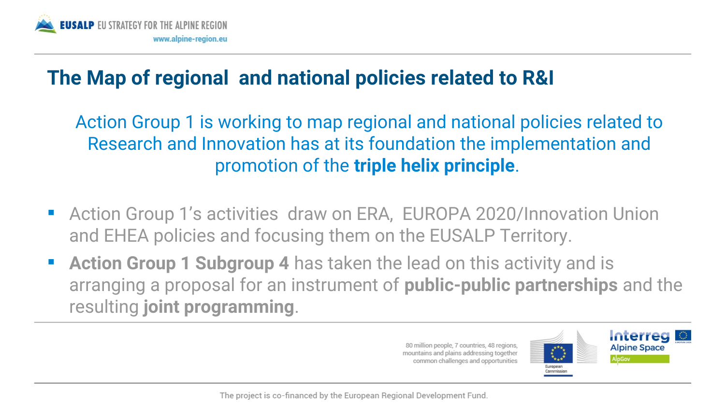

## **The Map of regional and national policies related to R&I**

Action Group 1 is working to map regional and national policies related to Research and Innovation has at its foundation the implementation and promotion of the **triple helix principle**.

- Action Group 1's activities draw on ERA, EUROPA 2020/Innovation Union and EHEA policies and focusing them on the EUSALP Territory.
- **Action Group 1 Subgroup 4** has taken the lead on this activity and is arranging a proposal for an instrument of **public-public partnerships** and the resulting **joint programming**.

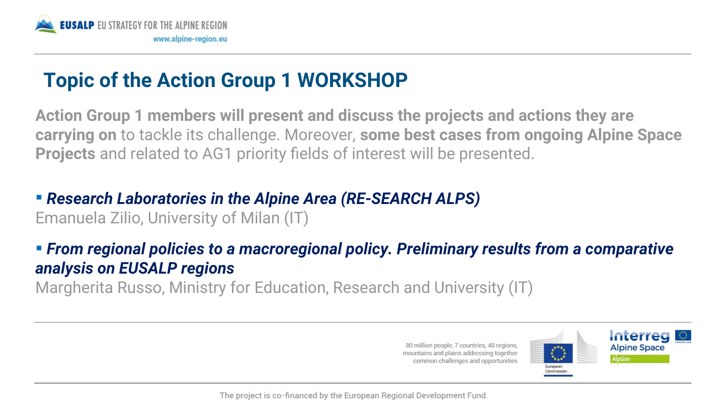

# **Topic of the Action Group 1 WORKSHOP**

**Action Group 1 members will present and discuss the projects and actions they are carrying on** to tackle its challenge. Moreover, **some best cases from ongoing Alpine Space Projects** and related to AG1 priority felds of interest will be presented.

## *Research Laboratories in the Alpine Area (RE-SEARCH ALPS)*

Emanuela Zilio, University of Milan (IT)

## *From regional policies to a macroregional policy. Preliminary results from a comparative analysis on EUSALP regions*

Margherita Russo, Ministry for Education, Research and University (IT)

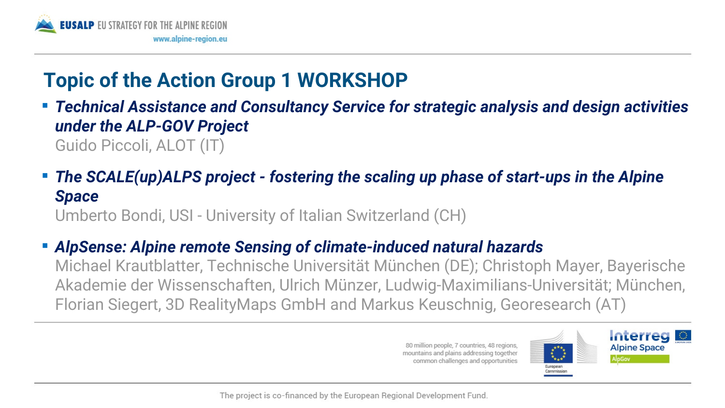

# **Topic of the Action Group 1 WORKSHOP**

- *Technical Assistance and Consultancy Service for strategic analysis and design activities under the ALP-GOV Project* Guido Piccoli, ALOT (IT)
- *The SCALE(up)ALPS project fostering the scaling up phase of start-ups in the Alpine Space*

Umberto Bondi, USI - University of Italian Switzerland (CH)

## *AlpSense: Alpine remote Sensing of climate-induced natural hazards*

Michael Krautblatter, Technische Universität München (DE); Christoph Mayer, Bayerische Akademie der Wissenschaften, Ulrich Münzer, Ludwig-Maximilians-Universität; München, Florian Siegert, 3D RealityMaps GmbH and Markus Keuschnig, Georesearch (AT)

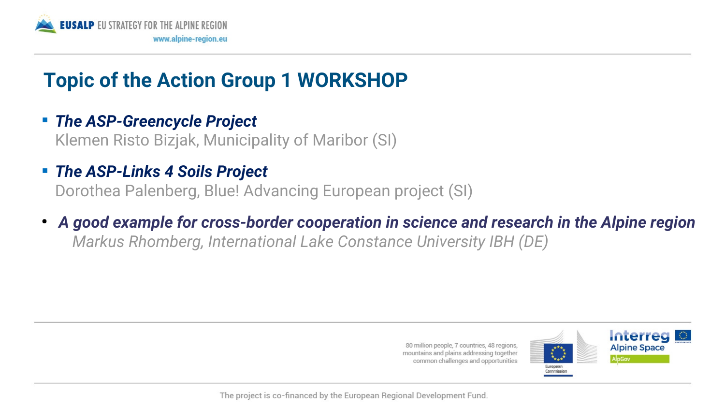

# **Topic of the Action Group 1 WORKSHOP**

#### *The ASP-Greencycle Project*

Klemen Risto Bizjak, Municipality of Maribor (SI)

### *The ASP-Links 4 Soils Project*

Dorothea Palenberg, Blue! Advancing European project (SI)

● *A good example for cross-border cooperation in science and research in the Alpine region Markus Rhomberg, International Lake Constance University IBH (DE)*